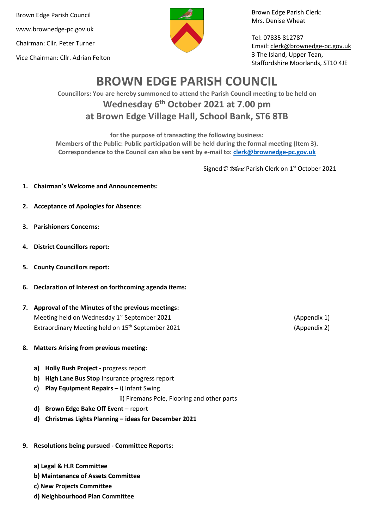Brown Edge Parish Council www.brownedge-pc.gov.uk Chairman: Cllr. Peter Turner Vice Chairman: Cllr. Adrian Felton



Brown Edge Parish Clerk: Mrs. Denise Wheat

Tel: 07835 812787 Email[: clerk@brownedge-pc.gov.uk](mailto:clerk@brownedge-pc.gov.uk) 3 The Island, Upper Tean, Staffordshire Moorlands, ST10 4JE

# **BROWN EDGE PARISH COUNCIL**

**Councillors: You are hereby summoned to attend the Parish Council meeting to be held on Wednesday 6 th October 2021 at 7.00 pm at Brown Edge Village Hall, School Bank, ST6 8TB**

**for the purpose of transacting the following business:**

**Members of the Public: Public participation will be held during the formal meeting (Item 3). Correspondence to the Council can also be sent by e-mail to: [clerk@brownedge-pc.gov.uk](mailto:clerk@brownedge-pc.gov.uk)**

Signed  $\mathcal D$  Wheat Parish Clerk on 1<sup>st</sup> October 2021

- **1. Chairman's Welcome and Announcements:**
- **2. Acceptance of Apologies for Absence:**
- **3. Parishioners Concerns:**
- **4. District Councillors report:**
- **5. County Councillors report:**
- **6. Declaration of Interest on forthcoming agenda items:**
- **7. Approval of the Minutes of the previous meetings:** Meeting held on Wednesday 1<sup>st</sup> September 2021 **1998** (Appendix 1) Extraordinary Meeting held on 15<sup>th</sup> September 2021 (Appendix 2)
- **8. Matters Arising from previous meeting:** 
	- **a) Holly Bush Project -** progress report
	- **b) High Lane Bus Stop** Insurance progress report
	- **c) Play Equipment Repairs –** i) Infant Swing

ii) Firemans Pole, Flooring and other parts

- **d) Brown Edge Bake Off Event**  report
- **d) Christmas Lights Planning – ideas for December 2021**
- **9. Resolutions being pursued - Committee Reports:**
	- **a) Legal & H.R Committee**
	- **b) Maintenance of Assets Committee**
	- **c) New Projects Committee**
	- **d) Neighbourhood Plan Committee**